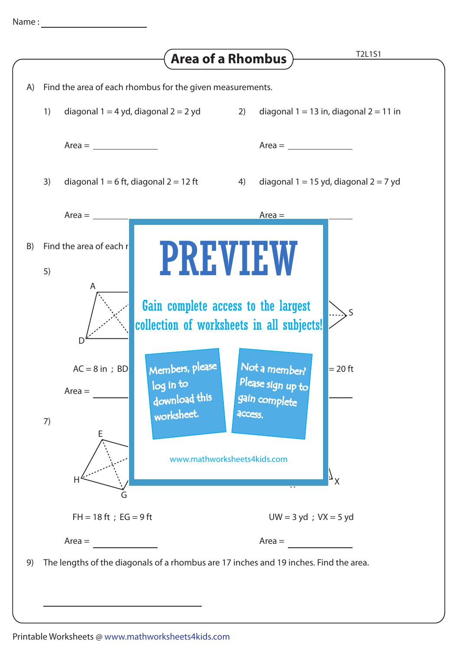